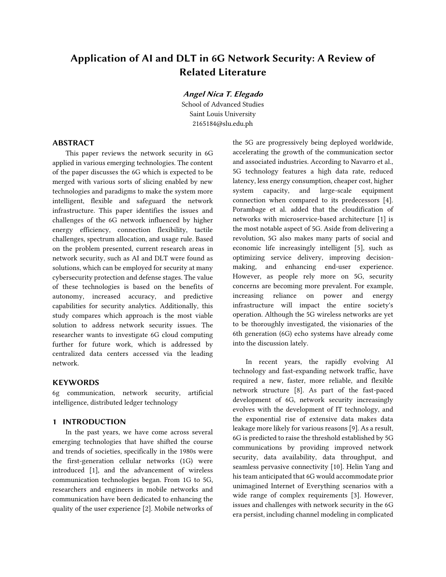# Application of AI and DLT in 6G Network Security: A Review of Related Literature

Angel Nica T. Elegado

School of Advanced Studies Saint Louis University 2165184@slu.edu.ph

## **ABSTRACT**

This paper reviews the network security in 6G applied in various emerging technologies. The content of the paper discusses the 6G which is expected to be merged with various sorts of slicing enabled by new technologies and paradigms to make the system more intelligent, flexible and safeguard the network infrastructure. This paper identifies the issues and challenges of the 6G network influenced by higher energy efficiency, connection flexibility, tactile challenges, spectrum allocation, and usage rule. Based on the problem presented, current research areas in network security, such as AI and DLT were found as solutions, which can be employed for security at many cybersecurity protection and defense stages. The value of these technologies is based on the benefits of autonomy, increased accuracy, and predictive capabilities for security analytics. Additionally, this study compares which approach is the most viable solution to address network security issues. The researcher wants to investigate 6G cloud computing further for future work, which is addressed by centralized data centers accessed via the leading network.

### **KEYWORDS**

6g communication, network security, artificial intelligence, distributed ledger technology

#### 1 INTRODUCTION

In the past years, we have come across several emerging technologies that have shifted the course and trends of societies, specifically in the 1980s were the first-generation cellular networks (1G) were introduced [1], and the advancement of wireless communication technologies began. From 1G to 5G, researchers and engineers in mobile networks and communication have been dedicated to enhancing the quality of the user experience [2]. Mobile networks of

the 5G are progressively being deployed worldwide, accelerating the growth of the communication sector and associated industries. According to Navarro et al., 5G technology features a high data rate, reduced latency, less energy consumption, cheaper cost, higher system capacity, and large-scale equipment connection when compared to its predecessors [4]. Porambage et al. added that the cloudification of networks with microservice-based architecture [1] is the most notable aspect of 5G. Aside from delivering a revolution, 5G also makes many parts of social and economic life increasingly intelligent [5], such as optimizing service delivery, improving decisionmaking, and enhancing end-user experience. However, as people rely more on 5G, security concerns are becoming more prevalent. For example, increasing reliance on power and energy infrastructure will impact the entire society's operation. Although the 5G wireless networks are yet to be thoroughly investigated, the visionaries of the 6th generation (6G) echo systems have already come into the discussion lately.

In recent years, the rapidly evolving AI technology and fast-expanding network traffic, have required a new, faster, more reliable, and flexible network structure [8]. As part of the fast-paced development of 6G, network security increasingly evolves with the development of IT technology, and the exponential rise of extensive data makes data leakage more likely for various reasons [9]. As a result, 6G is predicted to raise the threshold established by 5G communications by providing improved network security, data availability, data throughput, and seamless pervasive connectivity [10]. Helin Yang and his team anticipated that 6G would accommodate prior unimagined Internet of Everything scenarios with a wide range of complex requirements [3]. However, issues and challenges with network security in the 6G era persist, including channel modeling in complicated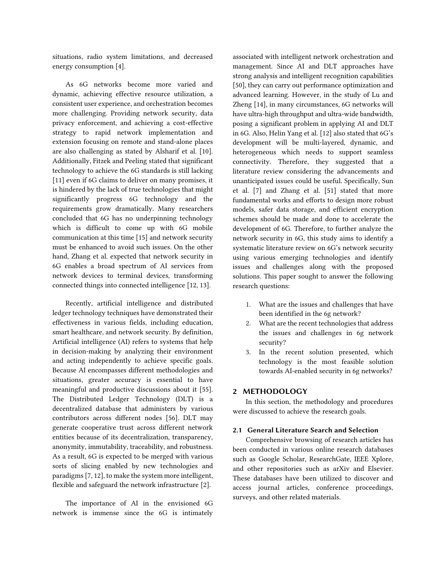situations, radio system limitations, and decreased energy consumption [4].

As 6G networks become more varied and dynamic, achieving effective resource utilization, a consistent user experience, and orchestration becomes more challenging. Providing network security, data privacy enforcement, and achieving a cost-effective strategy to rapid network implementation and extension focusing on remote and stand-alone places are also challenging as stated by Alsharif et al. [10]. Additionally, Fitzek and Peeling stated that significant technology to achieve the 6G standards is still lacking [11] even if 6G claims to deliver on many promises, it is hindered by the lack of true technologies that might significantly progress 6G technology and the requirements grow dramatically. Many researchers concluded that 6G has no underpinning technology which is difficult to come up with 6G mobile communication at this time [15] and network security must be enhanced to avoid such issues. On the other hand, Zhang et al. expected that network security in 6G enables a broad spectrum of AI services from network devices to terminal devices, transforming connected things into connected intelligence [12, 13].

Recently, artificial intelligence and distributed ledger technology techniques have demonstrated their effectiveness in various fields, including education, smart healthcare, and network security. By definition, Artificial intelligence (AI) refers to systems that help in decision-making by analyzing their environment and acting independently to achieve specific goals. Because AI encompasses different methodologies and situations, greater accuracy is essential to have meaningful and productive discussions about it [55]. The Distributed Ledger Technology (DLT) is a decentralized database that administers by various contributors across different nodes [56]. DLT may generate cooperative trust across different network entities because of its decentralization, transparency, anonymity, immutability, traceability, and robustness. As a result, 6G is expected to be merged with various sorts of slicing enabled by new technologies and paradigms [7, 12], to make the system more intelligent, flexible and safeguard the network infrastructure [2].

The importance of AI in the envisioned 6G network is immense since the 6G is intimately

associated with intelligent network orchestration and management. Since AI and DLT approaches have strong analysis and intelligent recognition capabilities [50], they can carry out performance optimization and advanced learning. However, in the study of Lu and Zheng [14], in many circumstances, 6G networks will have ultra-high throughput and ultra-wide bandwidth, posing a significant problem in applying AI and DLT in 6G. Also, Helin Yang et al. [12] also stated that 6G's development will be multi-layered, dynamic, and heterogeneous which needs to support seamless connectivity. Therefore, they suggested that a literature review considering the advancements and unanticipated issues could be useful. Specifically, Sun et al. [7] and Zhang et al. [51] stated that more fundamental works and efforts to design more robust models, safer data storage, and efficient encryption schemes should be made and done to accelerate the development of 6G. Therefore, to further analyze the network security in 6G, this study aims to identify a systematic literature review on 6G's network security using various emerging technologies and identify issues and challenges along with the proposed solutions. This paper sought to answer the following research questions:

- 1. What are the issues and challenges that have been identified in the 6g network?
- 2. What are the recent technologies that address the issues and challenges in 6g network security?
- 3. In the recent solution presented, which technology is the most feasible solution towards AI-enabled security in 6g networks?

#### 2 METHODOLOGY

In this section, the methodology and procedures were discussed to achieve the research goals.

#### 2.1 General Literature Search and Selection

Comprehensive browsing of research articles has been conducted in various online research databases such as Google Scholar, ResearchGate, IEEE Xplore, and other repositories such as arXiv and Elsevier. These databases have been utilized to discover and access journal articles, conference proceedings, surveys, and other related materials.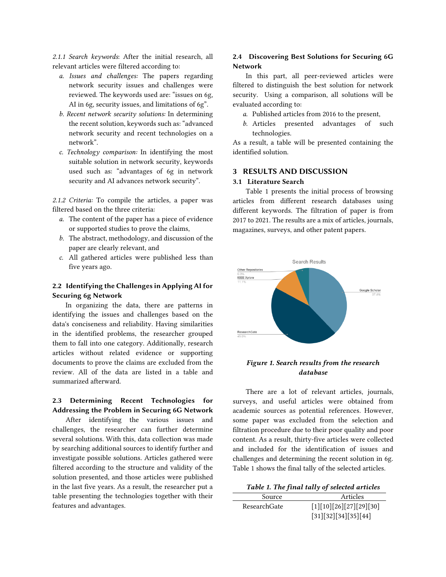*2.1.1 Search keywords*: After the initial research, all relevant articles were filtered according to:

- *a. Issues and challenges:* The papers regarding network security issues and challenges were reviewed. The keywords used are: "issues on 6g, AI in 6g, security issues, and limitations of 6g".
- *b. Recent network security solutions:* In determining the recent solution, keywords such as: "advanced network security and recent technologies on a network".
- *c. Technology comparison:* In identifying the most suitable solution in network security, keywords used such as: "advantages of 6g in network security and AI advances network security".

*2.1.2 Criteria:* To compile the articles, a paper was filtered based on the three criteria:

- *a.* The content of the paper has a piece of evidence or supported studies to prove the claims,
- *b.* The abstract, methodology, and discussion of the paper are clearly relevant, and
- *c.* All gathered articles were published less than five years ago.

## 2.2 Identifying the Challenges in Applying AI for Securing 6g Network

In organizing the data, there are patterns in identifying the issues and challenges based on the data's conciseness and reliability. Having similarities in the identified problems, the researcher grouped them to fall into one category. Additionally, research articles without related evidence or supporting documents to prove the claims are excluded from the review. All of the data are listed in a table and summarized afterward.

# 2.3 Determining Recent Technologies for Addressing the Problem in Securing 6G Network

After identifying the various issues and challenges, the researcher can further determine several solutions. With this, data collection was made by searching additional sources to identify further and investigate possible solutions. Articles gathered were filtered according to the structure and validity of the solution presented, and those articles were published in the last five years. As a result, the researcher put a table presenting the technologies together with their features and advantages.

## 2.4 Discovering Best Solutions for Securing 6G Network

In this part, all peer-reviewed articles were filtered to distinguish the best solution for network security. Using a comparison, all solutions will be evaluated according to:

- *a.* Published articles from 2016 to the present,
- *b.* Articles presented advantages of such technologies.

As a result, a table will be presented containing the identified solution.

## 3 RESULTS AND DISCUSSION

#### 3.1 Literature Search

Table 1 presents the initial process of browsing articles from different research databases using different keywords. The filtration of paper is from 2017 to 2021. The results are a mix of articles, journals, magazines, surveys, and other patent papers.



## *Figure 1. Search results from the research database*

There are a lot of relevant articles, journals, surveys, and useful articles were obtained from academic sources as potential references. However, some paper was excluded from the selection and filtration procedure due to their poor quality and poor content. As a result, thirty-five articles were collected and included for the identification of issues and challenges and determining the recent solution in 6g. Table 1 shows the final tally of the selected articles.

| Table 1. The final tally of selected articles |  |  |
|-----------------------------------------------|--|--|
|                                               |  |  |

| Source       | Articles                |  |
|--------------|-------------------------|--|
| ResearchGate | [1][10][26][27][29][30] |  |
|              | [31][32][34][35][44]    |  |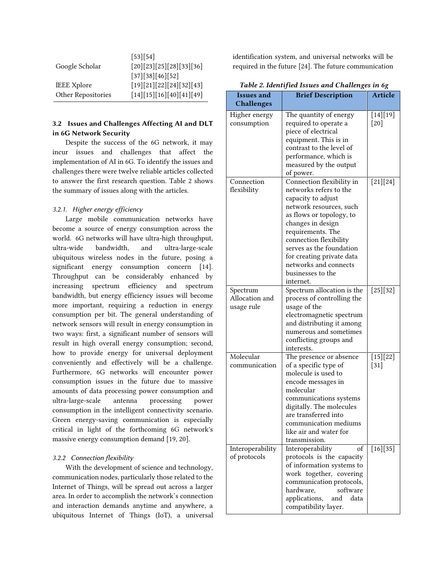|                           | [53][54]                 |
|---------------------------|--------------------------|
| Google Scholar            | [20][23][25][28][33][36] |
|                           | [37][38][46][52]         |
| <b>IEEE</b> Xplore        | [19][21][22][24][32][43] |
| <b>Other Repositories</b> | [14][15][16][40][41][49] |

# 3.2 Issues and Challenges Affecting AI and DLT in 6G Network Security

Despite the success of the 6G network, it may incur issues and challenges that affect the implementation of AI in 6G. To identify the issues and challenges there were twelve reliable articles collected to answer the first research question. Table 2 shows the summary of issues along with the articles.

#### *3.2.1. Higher energy efficiency*

Large mobile communication networks have become a source of energy consumption across the world. 6G networks will have ultra-high throughput, ultra-wide bandwidth, and ultra-large-scale ubiquitous wireless nodes in the future, posing a significant energy consumption concern [14]. Throughput can be considerably enhanced by increasing spectrum efficiency and spectrum bandwidth, but energy efficiency issues will become more important, requiring a reduction in energy consumption per bit. The general understanding of network sensors will result in energy consumption in two ways: first, a significant number of sensors will result in high overall energy consumption; second, how to provide energy for universal deployment conveniently and effectively will be a challenge. Furthermore, 6G networks will encounter power consumption issues in the future due to massive amounts of data processing power consumption and ultra-large-scale antenna processing power consumption in the intelligent connectivity scenario. Green energy-saving communication is especially critical in light of the forthcoming 6G network's massive energy consumption demand [19, 20].

## *3.2.2 Connection flexibility*

With the development of science and technology, communication nodes, particularly those related to the Internet of Things, will be spread out across a larger area. In order to accomplish the network's connection and interaction demands anytime and anywhere, a ubiquitous Internet of Things (IoT), a universal identification system, and universal networks will be required in the future [24]. The future communication

| <b>Issues and</b>                        | <b>Brief Description</b>                                                                                                                                                                                                                                                                                                 | <b>Article</b>       |
|------------------------------------------|--------------------------------------------------------------------------------------------------------------------------------------------------------------------------------------------------------------------------------------------------------------------------------------------------------------------------|----------------------|
| <b>Challenges</b>                        |                                                                                                                                                                                                                                                                                                                          |                      |
| Higher energy<br>consumption             | The quantity of energy<br>required to operate a<br>piece of electrical<br>equipment. This is in<br>contrast to the level of<br>performance, which is<br>measured by the output<br>of power.                                                                                                                              | $[14][19]$<br>[20]   |
| Connection<br>flexibility                | Connection flexibility in<br>networks refers to the<br>capacity to adjust<br>network resources, such<br>as flows or topology, to<br>changes in design<br>requirements. The<br>connection flexibility<br>serves as the foundation<br>for creating private data<br>networks and connects<br>businesses to the<br>internet. | $[21][24]$           |
| Spectrum<br>Allocation and<br>usage rule | Spectrum allocation is the<br>process of controlling the<br>usage of the<br>electromagnetic spectrum<br>and distributing it among<br>numerous and sometimes<br>conflicting groups and<br>interests.                                                                                                                      | $[25][32]$           |
| Molecular<br>communication               | The presence or absence<br>of a specific type of<br>molecule is used to<br>encode messages in<br>molecular<br>communications systems<br>digitally. The molecules<br>are transferred into<br>communication mediums<br>like air and water for<br>transmission.                                                             | $[15][22]$<br>$[31]$ |
| Interoperability<br>of protocols         | of<br>Interoperability<br>protocols is the capacity<br>of information systems to<br>work together, covering<br>communication protocols,<br>software<br>hardware,<br>applications,<br>data<br>and<br>compatibility layer.                                                                                                 | [16][35]             |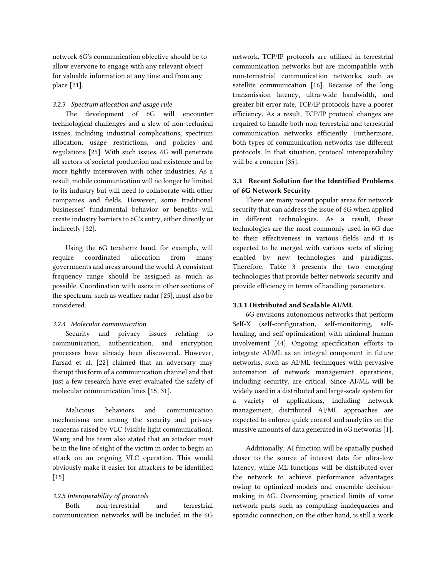network 6G's communication objective should be to allow everyone to engage with any relevant object for valuable information at any time and from any place [21].

### *3.2.3 Spectrum allocation and usage rule*

The development of 6G will encounter technological challenges and a slew of non-technical issues, including industrial complications, spectrum allocation, usage restrictions, and policies and regulations [25]. With such issues, 6G will penetrate all sectors of societal production and existence and be more tightly interwoven with other industries. As a result, mobile communication will no longer be limited to its industry but will need to collaborate with other companies and fields. However, some traditional businesses' fundamental behavior or benefits will create industry barriers to 6G's entry, either directly or indirectly [32].

Using the 6G terahertz band, for example, will require coordinated allocation from many governments and areas around the world. A consistent frequency range should be assigned as much as possible. Coordination with users in other sections of the spectrum, such as weather radar [25], must also be considered.

## *3.2.4 Molecular communication*

Security and privacy issues relating to communication, authentication, and encryption processes have already been discovered. However, Farsad et al. [22] claimed that an adversary may disrupt this form of a communication channel and that just a few research have ever evaluated the safety of molecular communication lines [15, 31].

Malicious behaviors and communication mechanisms are among the security and privacy concerns raised by VLC (visible light communication). Wang and his team also stated that an attacker must be in the line of sight of the victim in order to begin an attack on an ongoing VLC operation. This would obviously make it easier for attackers to be identified  $[15]$ 

#### *3.2.5 Interoperability of protocols*

Both non-terrestrial and terrestrial communication networks will be included in the 6G network. TCP/IP protocols are utilized in terrestrial communication networks but are incompatible with non-terrestrial communication networks, such as satellite communication [16]. Because of the long transmission latency, ultra-wide bandwidth, and greater bit error rate, TCP/IP protocols have a poorer efficiency. As a result, TCP/IP protocol changes are required to handle both non-terrestrial and terrestrial communication networks efficiently. Furthermore, both types of communication networks use different protocols. In that situation, protocol interoperability will be a concern [35].

## 3.3 Recent Solution for the Identified Problems of 6G Network Security

There are many recent popular areas for network security that can address the issue of 6G when applied in different technologies. As a result, these technologies are the most commonly used in 6G due to their effectiveness in various fields and it is expected to be merged with various sorts of slicing enabled by new technologies and paradigms. Therefore, Table 3 presents the two emerging technologies that provide better network security and provide efficiency in terms of handling parameters.

## 3.3.1 Distributed and Scalable AI/ML

6G envisions autonomous networks that perform Self-X (self-configuration, self-monitoring, selfhealing, and self-optimization) with minimal human involvement [44]. Ongoing specification efforts to integrate AI/ML as an integral component in future networks, such as AI/ML techniques with pervasive automation of network management operations, including security, are critical. Since AI/ML will be widely used in a distributed and large-scale system for a variety of applications, including network management, distributed AI/ML approaches are expected to enforce quick control and analytics on the massive amounts of data generated in 6G networks [1].

Additionally, AI function will be spatially pushed closer to the source of interest data for ultra-low latency, while ML functions will be distributed over the network to achieve performance advantages owing to optimized models and ensemble decisionmaking in 6G. Overcoming practical limits of some network parts such as computing inadequacies and sporadic connection, on the other hand, is still a work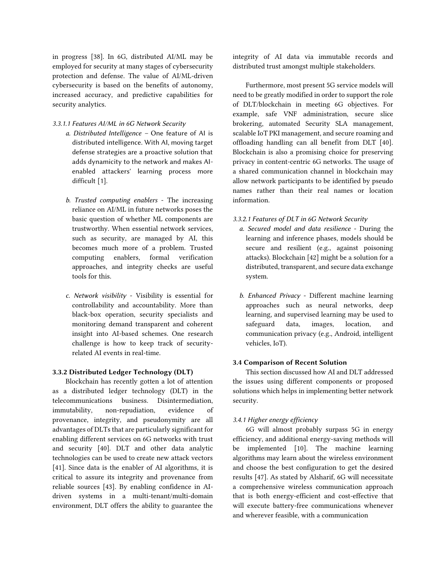in progress [38]. In 6G, distributed AI/ML may be employed for security at many stages of cybersecurity protection and defense. The value of AI/ML-driven cybersecurity is based on the benefits of autonomy, increased accuracy, and predictive capabilities for security analytics.

#### *3.3.1.1 Features AI/ML in 6G Network Security*

- *a. Distributed Intelligence –* One feature of AI is distributed intelligence. With AI, moving target defense strategies are a proactive solution that adds dynamicity to the network and makes AIenabled attackers' learning process more difficult [1].
- *b. Trusted computing enablers* The increasing reliance on AI/ML in future networks poses the basic question of whether ML components are trustworthy. When essential network services, such as security, are managed by AI, this becomes much more of a problem. Trusted computing enablers, formal verification approaches, and integrity checks are useful tools for this.
- *c. Network visibility* Visibility is essential for controllability and accountability. More than black-box operation, security specialists and monitoring demand transparent and coherent insight into AI-based schemes. One research challenge is how to keep track of securityrelated AI events in real-time.

## 3.3.2 Distributed Ledger Technology (DLT)

Blockchain has recently gotten a lot of attention as a distributed ledger technology (DLT) in the telecommunications business. Disintermediation, immutability, non-repudiation, evidence of provenance, integrity, and pseudonymity are all advantages of DLTs that are particularly significant for enabling different services on 6G networks with trust and security [40]. DLT and other data analytic technologies can be used to create new attack vectors [41]. Since data is the enabler of AI algorithms, it is critical to assure its integrity and provenance from reliable sources [43]. By enabling confidence in AIdriven systems in a multi-tenant/multi-domain environment, DLT offers the ability to guarantee the integrity of AI data via immutable records and distributed trust amongst multiple stakeholders.

Furthermore, most present 5G service models will need to be greatly modified in order to support the role of DLT/blockchain in meeting 6G objectives. For example, safe VNF administration, secure slice brokering, automated Security SLA management, scalable IoT PKI management, and secure roaming and offloading handling can all benefit from DLT [40]. Blockchain is also a promising choice for preserving privacy in content-centric 6G networks. The usage of a shared communication channel in blockchain may allow network participants to be identified by pseudo names rather than their real names or location information.

- *3.3.2.1 Features of DLT in 6G Network Security*
	- *a. Secured model and data resilience* During the learning and inference phases, models should be secure and resilient (e.g., against poisoning attacks). Blockchain [42] might be a solution for a distributed, transparent, and secure data exchange system.
	- *b. Enhanced Privacy* Different machine learning approaches such as neural networks, deep learning, and supervised learning may be used to safeguard data, images, location, and communication privacy (e.g., Android, intelligent vehicles, IoT).

## 3.4 Comparison of Recent Solution

This section discussed how AI and DLT addressed the issues using different components or proposed solutions which helps in implementing better network security.

#### *3.4.1 Higher energy efficiency*

6G will almost probably surpass 5G in energy efficiency, and additional energy-saving methods will be implemented [10]. The machine learning algorithms may learn about the wireless environment and choose the best configuration to get the desired results [47]. As stated by Alsharif, 6G will necessitate a comprehensive wireless communication approach that is both energy-efficient and cost-effective that will execute battery-free communications whenever and wherever feasible, with a communication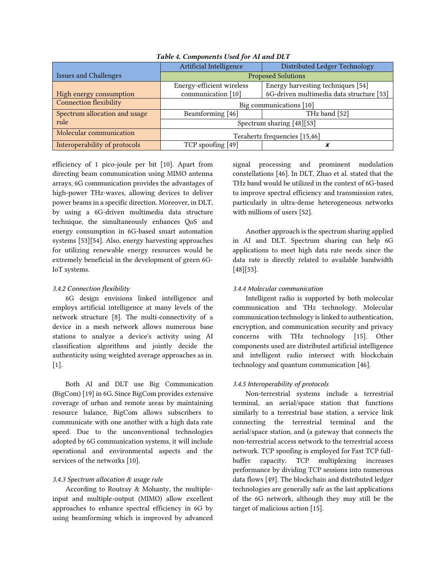|                               | Artificial Intelligence       | Distributed Ledger Technology            |  |
|-------------------------------|-------------------------------|------------------------------------------|--|
| <b>Issues and Challenges</b>  | <b>Proposed Solutions</b>     |                                          |  |
|                               | Energy-efficient wireless     | Energy harvesting techniques [54]        |  |
| High energy consumption       | communication [10]            | 6G-driven multimedia data structure [53] |  |
| <b>Connection flexibility</b> | Big communications [10]       |                                          |  |
| Spectrum allocation and usage | Beamforming [46]              | THz band [52]                            |  |
| rule                          | Spectrum sharing [48][53]     |                                          |  |
| Molecular communication       | Terahertz frequencies [15,46] |                                          |  |
| Interoperability of protocols | TCP spoofing [49]             |                                          |  |

## *Table 4. Components Used for AI and DLT*

efficiency of 1 pico-joule per bit [10]. Apart from directing beam communication using MIMO antenna arrays, 6G communication provides the advantages of high-power THz-waves, allowing devices to deliver power beams in a specific direction. Moreover, in DLT, by using a 6G-driven multimedia data structure technique, the simultaneously enhances QoS and energy consumption in 6G-based smart automation systems [53][54]. Also, energy harvesting approaches for utilizing renewable energy resources would be extremely beneficial in the development of green 6G-IoT systems.

#### *3.4.2 Connection flexibility*

6G design envisions linked intelligence and employs artificial intelligence at many levels of the network structure [8]. The multi-connectivity of a device in a mesh network allows numerous base stations to analyze a device's activity using AI classification algorithms and jointly decide the authenticity using weighted average approaches as in. [1].

Both AI and DLT use Big Communication (BigCom) [19] in 6G. Since BigCom provides extensive coverage of urban and remote areas by maintaining resource balance, BigCom allows subscribers to communicate with one another with a high data rate speed. Due to the unconventional technologies adopted by 6G communication systems, it will include operational and environmental aspects and the services of the networks [10].

## *3.4.3 Spectrum allocation & usage rule*

According to Routray & Mohanty, the multipleinput and multiple-output (MIMO) allow excellent approaches to enhance spectral efficiency in 6G by using beamforming which is improved by advanced

signal processing and prominent modulation constellations [46]. In DLT, Zhao et al. stated that the THz band would be utilized in the context of 6G-based to improve spectral efficiency and transmission rates, particularly in ultra-dense heterogeneous networks with millions of users [52].

Another approach is the spectrum sharing applied in AI and DLT. Spectrum sharing can help 6G applications to meet high data rate needs since the data rate is directly related to available bandwidth [48][53].

### *3.4.4 Molecular communication*

Intelligent radio is supported by both molecular communication and THz technology. Molecular communication technology is linked to authentication, encryption, and communication security and privacy concerns with THz technology [15]. Other components used are distributed artificial intelligence and intelligent radio intersect with blockchain technology and quantum communication [46].

## *3.4.5 Interoperability of protocols*

Non-terrestrial systems include a terrestrial terminal, an aerial/space station that functions similarly to a terrestrial base station, a service link connecting the terrestrial terminal and the aerial/space station, and (a gateway that connects the non-terrestrial access network to the terrestrial access network. TCP spoofing is employed for Fast TCP fullbuffer capacity. TCP multiplexing increases performance by dividing TCP sessions into numerous data flows [49]. The blockchain and distributed ledger technologies are generally safe as the last applications of the 6G network, although they may still be the target of malicious action [15].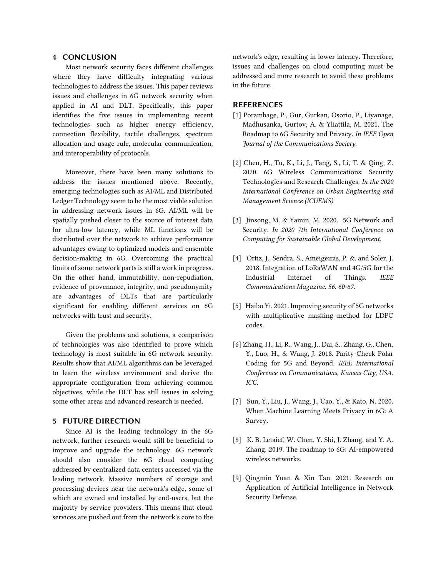## 4 CONCLUSION

Most network security faces different challenges where they have difficulty integrating various technologies to address the issues. This paper reviews issues and challenges in 6G network security when applied in AI and DLT. Specifically, this paper identifies the five issues in implementing recent technologies such as higher energy efficiency, connection flexibility, tactile challenges, spectrum allocation and usage rule, molecular communication, and interoperability of protocols.

Moreover, there have been many solutions to address the issues mentioned above. Recently, emerging technologies such as AI/ML and Distributed Ledger Technology seem to be the most viable solution in addressing network issues in 6G. AI/ML will be spatially pushed closer to the source of interest data for ultra-low latency, while ML functions will be distributed over the network to achieve performance advantages owing to optimized models and ensemble decision-making in 6G. Overcoming the practical limits of some network parts is still a work in progress. On the other hand, immutability, non-repudiation, evidence of provenance, integrity, and pseudonymity are advantages of DLTs that are particularly significant for enabling different services on 6G networks with trust and security.

Given the problems and solutions, a comparison of technologies was also identified to prove which technology is most suitable in 6G network security. Results show that AI/ML algorithms can be leveraged to learn the wireless environment and derive the appropriate configuration from achieving common objectives, while the DLT has still issues in solving some other areas and advanced research is needed.

## 5 FUTURE DIRECTION

Since AI is the leading technology in the 6G network, further research would still be beneficial to improve and upgrade the technology. 6G network should also consider the 6G cloud computing addressed by centralized data centers accessed via the leading network. Massive numbers of storage and processing devices near the network's edge, some of which are owned and installed by end-users, but the majority by service providers. This means that cloud services are pushed out from the network's core to the

network's edge, resulting in lower latency. Therefore, issues and challenges on cloud computing must be addressed and more research to avoid these problems in the future.

#### REFERENCES

- [1] Porambage, P., Gur, Gurkan, Osorio, P., Liyanage, Madhusanka, Gurtov, A. & Yliattila, M. 2021. The Roadmap to 6G Security and Privacy. *In IEEE Open Journal of the Communications Society.*
- [2] Chen, H., Tu, K., Li, J., Tang, S., Li, T. & Qing, Z. 2020. 6G Wireless Communications: Security Technologies and Research Challenges. *In the 2020 International Conference on Urban Engineering and Management Science (ICUEMS)*
- [3] Jinsong, M. & Yamin, M. 2020. 5G Network and Security. *In 2020 7th International Conference on Computing for Sustainable Global Development.*
- [4] Ortiz, J., Sendra. S., Ameigeiras, P. &, and Soler, J. 2018. Integration of LoRaWAN and 4G/5G for the Industrial Internet of Things. *IEEE Communications Magazine. 56. 60-67.*
- [5] Haibo Yi. 2021. Improving security of 5G networks with multiplicative masking method for LDPC codes.
- [6] Zhang, H., Li, R., Wang, J., Dai, S., Zhang, G., Chen, Y., Luo, H., & Wang, J. 2018. Parity-Check Polar Coding for 5G and Beyond. *IEEE International Conference on Communications, Kansas City, USA. ICC.*
- [7] Sun, Y., Liu, J., Wang, J., Cao, Y., & Kato, N. 2020. When Machine Learning Meets Privacy in 6G: A Survey.
- [8] K. B. Letaief, W. Chen, Y. Shi, J. Zhang, and Y. A. Zhang. 2019. The roadmap to 6G: AI-empowered wireless networks.
- [9] Qingmin Yuan & Xin Tan. 2021. Research on Application of Artificial Intelligence in Network Security Defense.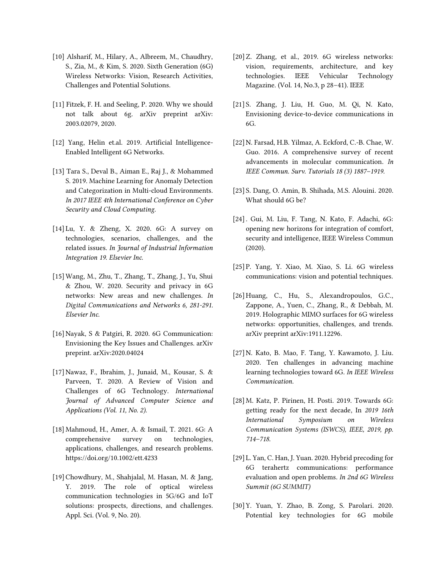- [10] Alsharif, M., Hilary, A., Albreem, M., Chaudhry, S., Zia, M., & Kim, S. 2020. Sixth Generation (6G) Wireless Networks: Vision, Research Activities, Challenges and Potential Solutions.
- [11] Fitzek, F. H. and Seeling, P. 2020. Why we should not talk about 6g. arXiv preprint arXiv: 2003.02079, 2020.
- [12] Yang, Helin et.al. 2019. Artificial Intelligence-Enabled Intelligent 6G Networks.
- [13] Tara S., Deval B., Aiman E., Raj J., & Mohammed S. 2019. Machine Learning for Anomaly Detection and Categorization in Multi-cloud Environments. *In 2017 IEEE 4th International Conference on Cyber Security and Cloud Computing.*
- [14] Lu, Y. & Zheng, X. 2020. 6G: A survey on technologies, scenarios, challenges, and the related issues. *In Journal of Industrial Information Integration 19. Elsevier Inc.*
- [15]Wang, M., Zhu, T., Zhang, T., Zhang, J., Yu, Shui & Zhou, W. 2020. Security and privacy in 6G networks: New areas and new challenges. *In Digital Communications and Networks 6, 281-291. Elsevier Inc.*
- [16]Nayak, S & Patgiri, R. 2020. 6G Communication: Envisioning the Key Issues and Challenges. arXiv preprint. arXiv:2020.04024
- [17]Nawaz, F., Ibrahim, J., Junaid, M., Kousar, S. & Parveen, T. 2020. A Review of Vision and Challenges of 6G Technology. *International Journal of Advanced Computer Science and Applications (Vol. 11, No. 2).*
- [18] Mahmoud, H., Amer, A. & Ismail, T. 2021. 6G: A comprehensive survey on technologies, applications, challenges, and research problems. <https://doi.org/10.1002/ett.4233>
- [19]Chowdhury, M., Shahjalal, M. Hasan, M. & Jang, Y. 2019. The role of optical wireless communication technologies in 5G/6G and IoT solutions: prospects, directions, and challenges. Appl. Sci. (Vol. 9, No. 20).
- [20]Z. Zhang, et al., 2019. 6G wireless networks: vision, requirements, architecture, and key technologies. IEEE Vehicular Technology Magazine. (Vol. 14, No.3, p 28–41). IEEE
- [21] S. Zhang, J. Liu, H. Guo, M. Qi, N. Kato, Envisioning device-to-device communications in 6G.
- [22]N. Farsad, H.B. Yilmaz, A. Eckford, C.-B. Chae, W. Guo. 2016. A comprehensive survey of recent advancements in molecular communication. *In IEEE Commun. Surv. Tutorials 18 (3) 1887–1919.*
- [23] S. Dang, O. Amin, B. Shihada, M.S. Alouini. 2020. What should 6G be?
- [24]. Gui, M. Liu, F. Tang, N. Kato, F. Adachi, 6G: opening new horizons for integration of comfort, security and intelligence, IEEE Wireless Commun (2020).
- [25] P. Yang, Y. Xiao, M. Xiao, S. Li. 6G wireless communications: vision and potential techniques.
- [26] Huang, C., Hu, S., Alexandropoulos, G.C., Zappone, A., Yuen, C., Zhang, R., & Debbah, M. 2019. Holographic MIMO surfaces for 6G wireless networks: opportunities, challenges, and trends. arXiv preprint arXiv:1911.12296.
- [27]N. Kato, B. Mao, F. Tang, Y. Kawamoto, J. Liu. 2020. Ten challenges in advancing machine learning technologies toward 6G. *In IEEE Wireless Communication.*
- [28] M. Katz, P. Pirinen, H. Posti. 2019. Towards 6G: getting ready for the next decade, In *2019 16th International Symposium on Wireless Communication Systems (ISWCS), IEEE, 2019, pp. 714–718.*
- [29] L. Yan, C. Han, J. Yuan. 2020. Hybrid precoding for 6G terahertz communications: performance evaluation and open problems. *In 2nd 6G Wireless Summit (6G SUMMIT)*
- [30] Y. Yuan, Y. Zhao, B. Zong, S. Parolari. 2020. Potential key technologies for 6G mobile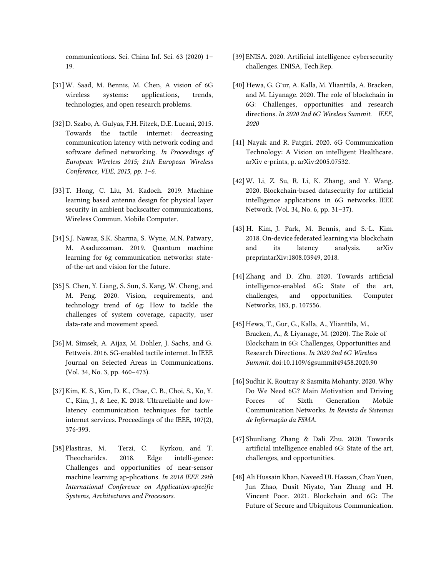communications. Sci. China Inf. Sci. 63 (2020) 1– 19.

- [31]W. Saad, M. Bennis, M. Chen, A vision of 6G wireless systems: applications, trends, technologies, and open research problems.
- [32] D. Szabo, A. Gulyas, F.H. Fitzek, D.E. Lucani, 2015. Towards the tactile internet: decreasing communication latency with network coding and software defined networking. *In Proceedings of European Wireless 2015; 21th European Wireless Conference, VDE, 2015, pp. 1–6.*
- [33] T. Hong, C. Liu, M. Kadoch. 2019. Machine learning based antenna design for physical layer security in ambient backscatter communications, Wireless Commun. Mobile Computer.
- [34] S.J. Nawaz, S.K. Sharma, S. Wyne, M.N. Patwary, M. Asaduzzaman. 2019. Quantum machine learning for 6g communication networks: stateof-the-art and vision for the future.
- [35] S. Chen, Y. Liang, S. Sun, S. Kang, W. Cheng, and M. Peng. 2020. Vision, requirements, and technology trend of 6g: How to tackle the challenges of system coverage, capacity, user data-rate and movement speed.
- [36] M. Simsek, A. Aijaz, M. Dohler, J. Sachs, and G. Fettweis. 2016. 5G-enabled tactile internet. In IEEE Journal on Selected Areas in Communications. (Vol. 34, No. 3, pp. 460–473).
- [37]Kim, K. S., Kim, D. K., Chae, C. B., Choi, S., Ko, Y. C., Kim, J., & Lee, K. 2018. Ultrareliable and lowlatency communication techniques for tactile internet services. Proceedings of the IEEE, 107(2), 376-393.
- [38] Plastiras, M. Terzi, C. Kyrkou, and T. Theocharidcs. 2018. Edge intelli-gence: Challenges and opportunities of near-sensor machine learning ap-plications. *In 2018 IEEE 29th International Conference on Application-specific Systems, Architectures and Processors*.
- [39] ENISA. 2020. Artificial intelligence cybersecurity challenges. ENISA, Tech.Rep.
- [40] Hewa, G. G ur, A. Kalla, M. Ylianttila, A. Bracken, and M. Liyanage. 2020. The role of blockchain in 6G: Challenges, opportunities and research directions. *In 2020 2nd 6G Wireless Summit. IEEE, 2020*
- [41] Nayak and R. Patgiri. 2020. 6G Communication Technology: A Vision on intelligent Healthcare. arXiv e-prints, p. arXiv:2005.07532.
- [42]W. Li, Z. Su, R. Li, K. Zhang, and Y. Wang. 2020. Blockchain-based datasecurity for artificial intelligence applications in 6G networks. IEEE Network. (Vol. 34, No. 6, pp. 31–37).
- [43] H. Kim, J. Park, M. Bennis, and S.-L. Kim. 2018. On-device federated learning via blockchain and its latency analysis. arXiv preprintarXiv:1808.03949, 2018.
- [44] Zhang and D. Zhu. 2020. Towards artificial intelligence-enabled 6G: State of the art, challenges, and opportunities. Computer Networks, 183, p. 107556.
- [45] Hewa, T., Gur, G., Kalla, A., Ylianttila, M., Bracken, A., & Liyanage, M. (2020). The Role of Blockchain in 6G: Challenges, Opportunities and Research Directions. *In 2020 2nd 6G Wireless Summit.* doi:10.1109/6gsummit49458.2020.90
- [46] Sudhir K. Routray & Sasmita Mohanty. 2020. Why Do We Need 6G? Main Motivation and Driving Forces of Sixth Generation Mobile Communication Networks. *In Revista de Sistemas de Informação da FSMA.*
- [47] Shunliang Zhang & Dali Zhu. 2020. Towards artificial intelligence enabled 6G: State of the art, challenges, and opportunities.
- [48] Ali Hussain Khan, Naveed UL Hassan, Chau Yuen, Jun Zhao, Dusit Niyato, Yan Zhang and H. Vincent Poor. 2021. Blockchain and 6G: The Future of Secure and Ubiquitous Communication.